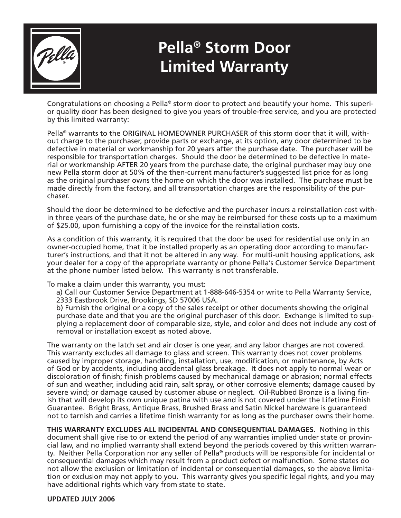

## **Pella® Storm Door Limited Warranty**

Congratulations on choosing a Pella® storm door to protect and beautify your home. This superior quality door has been designed to give you years of trouble-free service, and you are protected by this limited warranty:

Pella® warrants to the ORIGINAL HOMEOWNER PURCHASER of this storm door that it will, without charge to the purchaser, provide parts or exchange, at its option, any door determined to be defective in material or workmanship for 20 years after the purchase date. The purchaser will be responsible for transportation charges. Should the door be determined to be defective in material or workmanship AFTER 20 years from the purchase date, the original purchaser may buy one new Pella storm door at 50% of the then-current manufacturer's suggested list price for as long as the original purchaser owns the home on which the door was installed. The purchase must be made directly from the factory, and all transportation charges are the responsibility of the purchaser.

Should the door be determined to be defective and the purchaser incurs a reinstallation cost within three years of the purchase date, he or she may be reimbursed for these costs up to a maximum of \$25.00, upon furnishing a copy of the invoice for the reinstallation costs.

As a condition of this warranty, it is required that the door be used for residential use only in an owner-occupied home, that it be installed properly as an operating door according to manufacturer's instructions, and that it not be altered in any way. For multi-unit housing applications, ask your dealer for a copy of the appropriate warranty or phone Pella's Customer Service Department at the phone number listed below. This warranty is not transferable.

To make a claim under this warranty, you must:

a) Call our Customer Service Department at 1-888-646-5354 or write to Pella Warranty Service, 2333 Eastbrook Drive, Brookings, SD 57006 USA.

b) Furnish the original or a copy of the sales receipt or other documents showing the original purchase date and that you are the original purchaser of this door. Exchange is limited to supplying a replacement door of comparable size, style, and color and does not include any cost of removal or installation except as noted above.

The warranty on the latch set and air closer is one year, and any labor charges are not covered. This warranty excludes all damage to glass and screen. This warranty does not cover problems caused by improper storage, handling, installation, use, modification, or maintenance, by Acts of God or by accidents, including accidental glass breakage. It does not apply to normal wear or discoloration of finish; finish problems caused by mechanical damage or abrasion; normal effects of sun and weather, including acid rain, salt spray, or other corrosive elements; damage caused by severe wind; or damage caused by customer abuse or neglect. Oil-Rubbed Bronze is a living finish that will develop its own unique patina with use and is not covered under the Lifetime Finish Guarantee. Bright Brass, Antique Brass, Brushed Brass and Satin Nickel hardware is guaranteed not to tarnish and carries a lifetime finish warranty for as long as the purchaser owns their home.

**THIS WARRANTY EXCLUDES ALL INCIDENTAL AND CONSEQUENTIAL DAMAGES**. Nothing in this document shall give rise to or extend the period of any warranties implied under state or provincial law, and no implied warranty shall extend beyond the periods covered by this written warranty. Neither Pella Corporation nor any seller of Pella® products will be responsible for incidental or consequential damages which may result from a product defect or malfunction. Some states do not allow the exclusion or limitation of incidental or consequential damages, so the above limitation or exclusion may not apply to you. This warranty gives you specific legal rights, and you may have additional rights which vary from state to state.

#### **UPDATED JULY 2006**